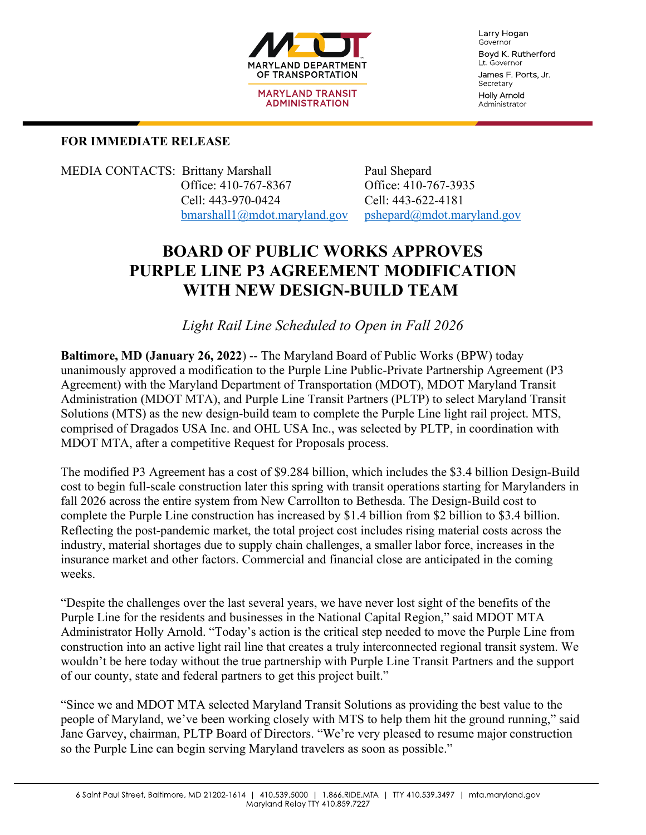

**MARYLAND TRANSIT ADMINISTRATION** 

Larry Hogan Governor Boyd K. Rutherford Lt. Governor James F. Ports, Jr. Secretary **Holly Arnold** Administrator

### **FOR IMMEDIATE RELEASE**

MEDIA CONTACTS: Brittany Marshall Paul Shepard Office: 410-767-8367 Office: 410-767-3935 Cell: 443-970-0424 Cell: 443-622-4181

[bmarshall1@mdot.maryland.gov](mailto:bmarshall1@mdot.maryland.gov) [pshepard@mdot.maryland.gov](mailto:pshepard@mdot.maryland.gov)

# **BOARD OF PUBLIC WORKS APPROVES PURPLE LINE P3 AGREEMENT MODIFICATION WITH NEW DESIGN-BUILD TEAM**

*Light Rail Line Scheduled to Open in Fall 2026*

**Baltimore, MD (January 26, 2022) -- The Maryland Board of Public Works (BPW) today** unanimously approved a modification to the Purple Line Public-Private Partnership Agreement (P3 Agreement) with the Maryland Department of Transportation (MDOT), MDOT Maryland Transit Administration (MDOT MTA), and Purple Line Transit Partners (PLTP) to select Maryland Transit Solutions (MTS) as the new design-build team to complete the Purple Line light rail project. MTS, comprised of Dragados USA Inc. and OHL USA Inc., was selected by PLTP, in coordination with MDOT MTA, after a competitive Request for Proposals process.

The modified P3 Agreement has a cost of \$9.284 billion, which includes the \$3.4 billion Design-Build cost to begin full-scale construction later this spring with transit operations starting for Marylanders in fall 2026 across the entire system from New Carrollton to Bethesda. The Design-Build cost to complete the Purple Line construction has increased by \$1.4 billion from \$2 billion to \$3.4 billion. Reflecting the post-pandemic market, the total project cost includes rising material costs across the industry, material shortages due to supply chain challenges, a smaller labor force, increases in the insurance market and other factors. Commercial and financial close are anticipated in the coming weeks.

"Despite the challenges over the last several years, we have never lost sight of the benefits of the Purple Line for the residents and businesses in the National Capital Region," said MDOT MTA Administrator Holly Arnold. "Today's action is the critical step needed to move the Purple Line from construction into an active light rail line that creates a truly interconnected regional transit system. We wouldn't be here today without the true partnership with Purple Line Transit Partners and the support of our county, state and federal partners to get this project built."

"Since we and MDOT MTA selected Maryland Transit Solutions as providing the best value to the people of Maryland, we've been working closely with MTS to help them hit the ground running," said Jane Garvey, chairman, PLTP Board of Directors. "We're very pleased to resume major construction so the Purple Line can begin serving Maryland travelers as soon as possible."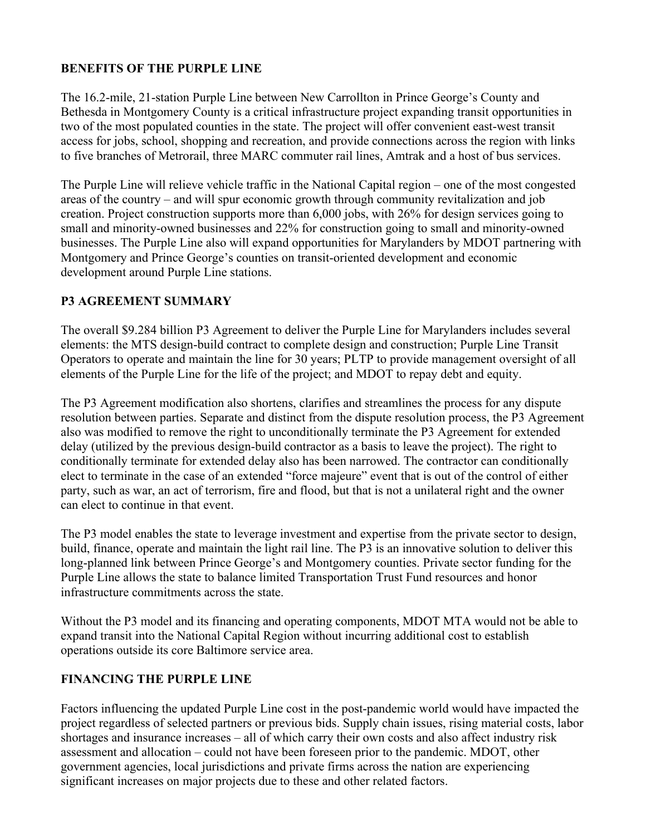#### **BENEFITS OF THE PURPLE LINE**

The 16.2-mile, 21-station Purple Line between New Carrollton in Prince George's County and Bethesda in Montgomery County is a critical infrastructure project expanding transit opportunities in two of the most populated counties in the state. The project will offer convenient east-west transit access for jobs, school, shopping and recreation, and provide connections across the region with links to five branches of Metrorail, three MARC commuter rail lines, Amtrak and a host of bus services.

The Purple Line will relieve vehicle traffic in the National Capital region – one of the most congested areas of the country – and will spur economic growth through community revitalization and job creation. Project construction supports more than 6,000 jobs, with 26% for design services going to small and minority-owned businesses and 22% for construction going to small and minority-owned businesses. The Purple Line also will expand opportunities for Marylanders by MDOT partnering with Montgomery and Prince George's counties on transit-oriented development and economic development around Purple Line stations.

#### **P3 AGREEMENT SUMMARY**

The overall \$9.284 billion P3 Agreement to deliver the Purple Line for Marylanders includes several elements: the MTS design-build contract to complete design and construction; Purple Line Transit Operators to operate and maintain the line for 30 years; PLTP to provide management oversight of all elements of the Purple Line for the life of the project; and MDOT to repay debt and equity.

The P3 Agreement modification also shortens, clarifies and streamlines the process for any dispute resolution between parties. Separate and distinct from the dispute resolution process, the P3 Agreement also was modified to remove the right to unconditionally terminate the P3 Agreement for extended delay (utilized by the previous design-build contractor as a basis to leave the project). The right to conditionally terminate for extended delay also has been narrowed. The contractor can conditionally elect to terminate in the case of an extended "force majeure" event that is out of the control of either party, such as war, an act of terrorism, fire and flood, but that is not a unilateral right and the owner can elect to continue in that event.

The P3 model enables the state to leverage investment and expertise from the private sector to design, build, finance, operate and maintain the light rail line. The P3 is an innovative solution to deliver this long-planned link between Prince George's and Montgomery counties. Private sector funding for the Purple Line allows the state to balance limited Transportation Trust Fund resources and honor infrastructure commitments across the state.

Without the P3 model and its financing and operating components, MDOT MTA would not be able to expand transit into the National Capital Region without incurring additional cost to establish operations outside its core Baltimore service area.

#### **FINANCING THE PURPLE LINE**

Factors influencing the updated Purple Line cost in the post-pandemic world would have impacted the project regardless of selected partners or previous bids. Supply chain issues, rising material costs, labor shortages and insurance increases – all of which carry their own costs and also affect industry risk assessment and allocation – could not have been foreseen prior to the pandemic. MDOT, other government agencies, local jurisdictions and private firms across the nation are experiencing significant increases on major projects due to these and other related factors.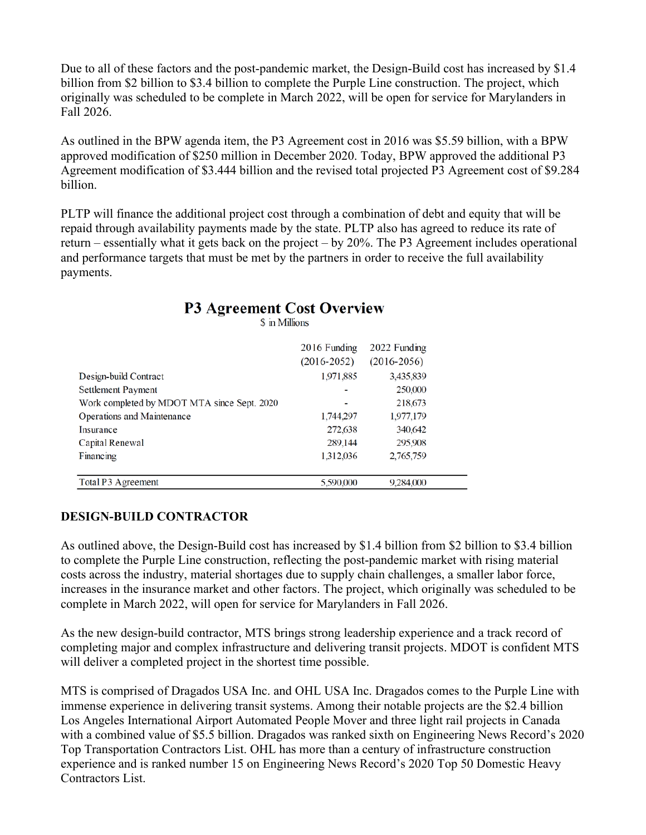Due to all of these factors and the post-pandemic market, the Design-Build cost has increased by \$1.4 billion from \$2 billion to \$3.4 billion to complete the Purple Line construction. The project, which originally was scheduled to be complete in March 2022, will be open for service for Marylanders in Fall 2026.

As outlined in the BPW agenda item, the P3 Agreement cost in 2016 was \$5.59 billion, with a BPW approved modification of \$250 million in December 2020. Today, BPW approved the additional P3 Agreement modification of \$3.444 billion and the revised total projected P3 Agreement cost of \$9.284 billion.

PLTP will finance the additional project cost through a combination of debt and equity that will be repaid through availability payments made by the state. PLTP also has agreed to reduce its rate of return – essentially what it gets back on the project – by 20%. The P3 Agreement includes operational and performance targets that must be met by the partners in order to receive the full availability payments.

| Design-build Contract<br>Settlement Payment<br>Work completed by MDOT MTA since Sept. 2020<br><b>Operations and Maintenance</b><br>Insurance | 2016 Funding<br>$(2016 - 2052)$<br>1,971,885<br>1,744,297 | 2022 Funding<br>$(2016 - 2056)$<br>3,435,839<br>250,000<br>218,673<br>1,977,179 |  |
|----------------------------------------------------------------------------------------------------------------------------------------------|-----------------------------------------------------------|---------------------------------------------------------------------------------|--|
| Capital Renewal                                                                                                                              | 272,638<br>289,144                                        | 340,642<br>295,908                                                              |  |
| Financing                                                                                                                                    | 1,312,036                                                 | 2,765,759                                                                       |  |
| Total P3 Agreement                                                                                                                           | 5.590,000                                                 | 9.284,000                                                                       |  |

# **P3 Agreement Cost Overview**

\$ in Millions

#### **DESIGN-BUILD CONTRACTOR**

As outlined above, the Design-Build cost has increased by \$1.4 billion from \$2 billion to \$3.4 billion to complete the Purple Line construction, reflecting the post-pandemic market with rising material costs across the industry, material shortages due to supply chain challenges, a smaller labor force, increases in the insurance market and other factors. The project, which originally was scheduled to be complete in March 2022, will open for service for Marylanders in Fall 2026.

As the new design-build contractor, MTS brings strong leadership experience and a track record of completing major and complex infrastructure and delivering transit projects. MDOT is confident MTS will deliver a completed project in the shortest time possible.

MTS is comprised of Dragados USA Inc. and OHL USA Inc. Dragados comes to the Purple Line with immense experience in delivering transit systems. Among their notable projects are the \$2.4 billion Los Angeles International Airport Automated People Mover and three light rail projects in Canada with a combined value of \$5.5 billion. Dragados was ranked sixth on Engineering News Record's 2020 Top Transportation Contractors List. OHL has more than a century of infrastructure construction experience and is ranked number 15 on Engineering News Record's 2020 Top 50 Domestic Heavy Contractors List.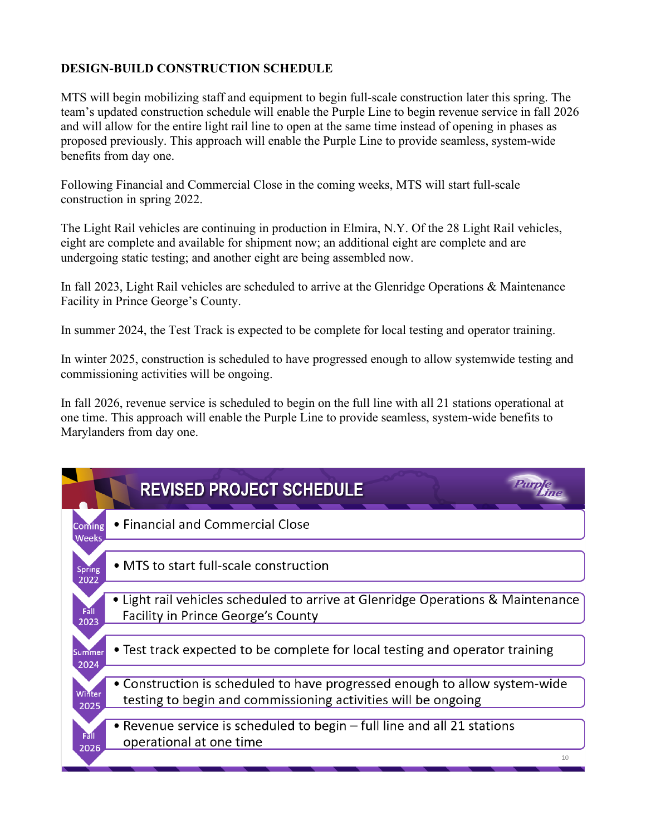## **DESIGN-BUILD CONSTRUCTION SCHEDULE**

MTS will begin mobilizing staff and equipment to begin full-scale construction later this spring. The team's updated construction schedule will enable the Purple Line to begin revenue service in fall 2026 and will allow for the entire light rail line to open at the same time instead of opening in phases as proposed previously. This approach will enable the Purple Line to provide seamless, system-wide benefits from day one.

Following Financial and Commercial Close in the coming weeks, MTS will start full-scale construction in spring 2022.

The Light Rail vehicles are continuing in production in Elmira, N.Y. Of the 28 Light Rail vehicles, eight are complete and available for shipment now; an additional eight are complete and are undergoing static testing; and another eight are being assembled now.

In fall 2023, Light Rail vehicles are scheduled to arrive at the Glenridge Operations & Maintenance Facility in Prince George's County.

In summer 2024, the Test Track is expected to be complete for local testing and operator training.

In winter 2025, construction is scheduled to have progressed enough to allow systemwide testing and commissioning activities will be ongoing.

In fall 2026, revenue service is scheduled to begin on the full line with all 21 stations operational at one time. This approach will enable the Purple Line to provide seamless, system-wide benefits to Marylanders from day one.